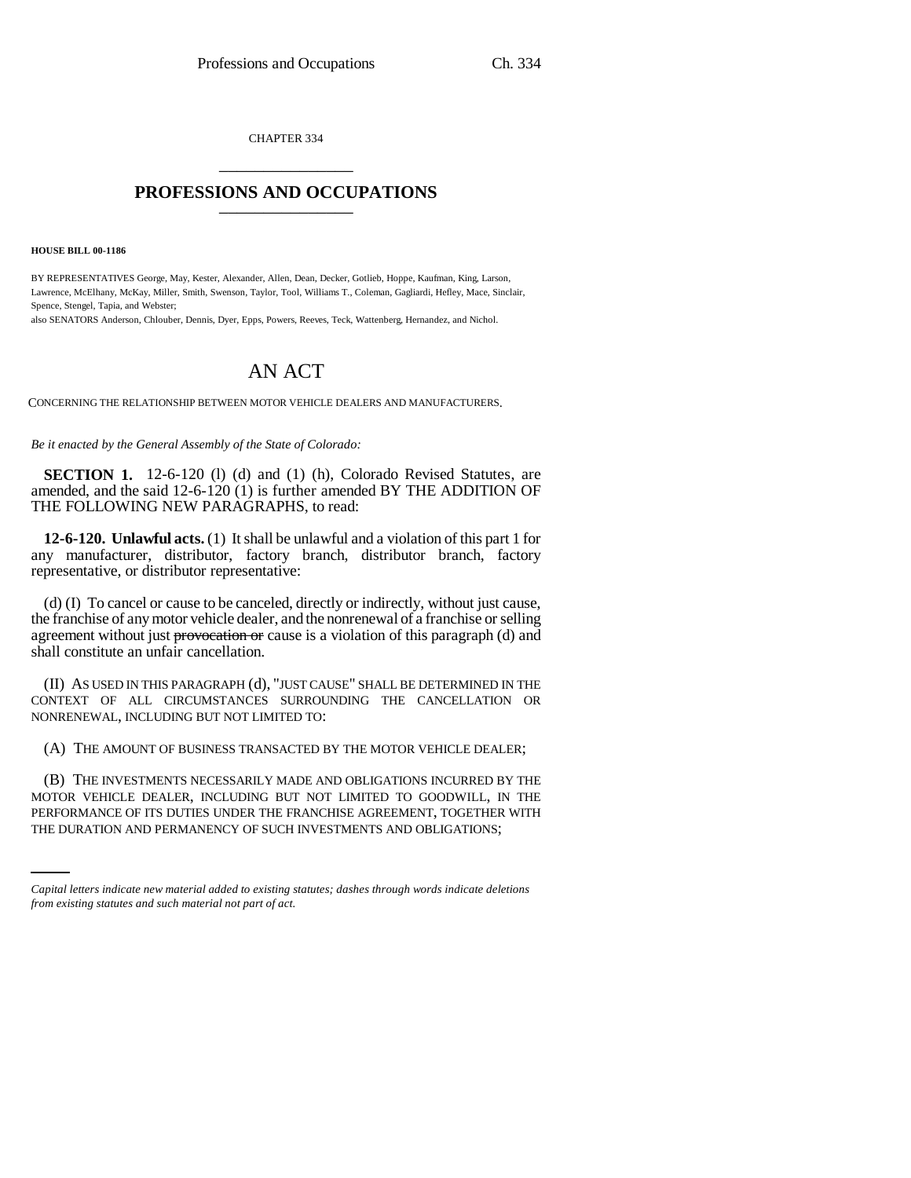CHAPTER 334 \_\_\_\_\_\_\_\_\_\_\_\_\_\_\_

## **PROFESSIONS AND OCCUPATIONS** \_\_\_\_\_\_\_\_\_\_\_\_\_\_\_

**HOUSE BILL 00-1186** 

BY REPRESENTATIVES George, May, Kester, Alexander, Allen, Dean, Decker, Gotlieb, Hoppe, Kaufman, King, Larson, Lawrence, McElhany, McKay, Miller, Smith, Swenson, Taylor, Tool, Williams T., Coleman, Gagliardi, Hefley, Mace, Sinclair, Spence, Stengel, Tapia, and Webster;

also SENATORS Anderson, Chlouber, Dennis, Dyer, Epps, Powers, Reeves, Teck, Wattenberg, Hernandez, and Nichol.

## AN ACT

CONCERNING THE RELATIONSHIP BETWEEN MOTOR VEHICLE DEALERS AND MANUFACTURERS.

*Be it enacted by the General Assembly of the State of Colorado:*

**SECTION 1.** 12-6-120 (1) (d) and (1) (h), Colorado Revised Statutes, are amended, and the said 12-6-120 (1) is further amended BY THE ADDITION OF THE FOLLOWING NEW PARAGRAPHS, to read:

**12-6-120. Unlawful acts.** (1) It shall be unlawful and a violation of this part 1 for any manufacturer, distributor, factory branch, distributor branch, factory representative, or distributor representative:

(d) (I) To cancel or cause to be canceled, directly or indirectly, without just cause, the franchise of any motor vehicle dealer, and the nonrenewal of a franchise or selling agreement without just provocation or cause is a violation of this paragraph (d) and shall constitute an unfair cancellation.

(II) AS USED IN THIS PARAGRAPH (d), "JUST CAUSE" SHALL BE DETERMINED IN THE CONTEXT OF ALL CIRCUMSTANCES SURROUNDING THE CANCELLATION OR NONRENEWAL, INCLUDING BUT NOT LIMITED TO:

(A) THE AMOUNT OF BUSINESS TRANSACTED BY THE MOTOR VEHICLE DEALER;

MOTOR VEHICLE DEALER, INCLUDING BUT NOT LIMITED TO GOODWILL, IN THE (B) THE INVESTMENTS NECESSARILY MADE AND OBLIGATIONS INCURRED BY THE PERFORMANCE OF ITS DUTIES UNDER THE FRANCHISE AGREEMENT, TOGETHER WITH THE DURATION AND PERMANENCY OF SUCH INVESTMENTS AND OBLIGATIONS;

*Capital letters indicate new material added to existing statutes; dashes through words indicate deletions from existing statutes and such material not part of act.*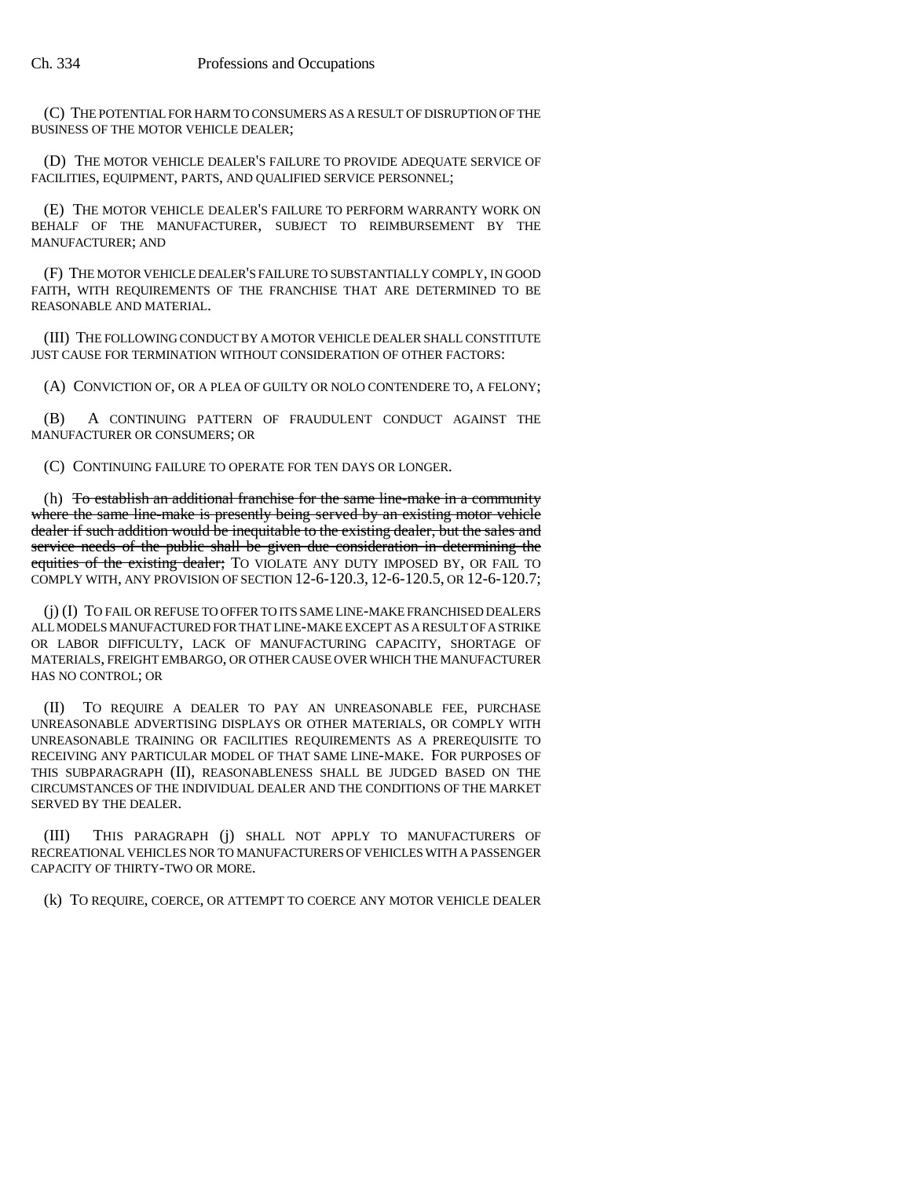(C) THE POTENTIAL FOR HARM TO CONSUMERS AS A RESULT OF DISRUPTION OF THE BUSINESS OF THE MOTOR VEHICLE DEALER;

(D) THE MOTOR VEHICLE DEALER'S FAILURE TO PROVIDE ADEQUATE SERVICE OF FACILITIES, EQUIPMENT, PARTS, AND QUALIFIED SERVICE PERSONNEL;

(E) THE MOTOR VEHICLE DEALER'S FAILURE TO PERFORM WARRANTY WORK ON BEHALF OF THE MANUFACTURER, SUBJECT TO REIMBURSEMENT BY THE MANUFACTURER; AND

(F) THE MOTOR VEHICLE DEALER'S FAILURE TO SUBSTANTIALLY COMPLY, IN GOOD FAITH, WITH REQUIREMENTS OF THE FRANCHISE THAT ARE DETERMINED TO BE REASONABLE AND MATERIAL.

(III) THE FOLLOWING CONDUCT BY A MOTOR VEHICLE DEALER SHALL CONSTITUTE JUST CAUSE FOR TERMINATION WITHOUT CONSIDERATION OF OTHER FACTORS:

(A) CONVICTION OF, OR A PLEA OF GUILTY OR NOLO CONTENDERE TO, A FELONY;

(B) A CONTINUING PATTERN OF FRAUDULENT CONDUCT AGAINST THE MANUFACTURER OR CONSUMERS; OR

(C) CONTINUING FAILURE TO OPERATE FOR TEN DAYS OR LONGER.

(h) To establish an additional franchise for the same line-make in a community where the same line-make is presently being served by an existing motor vehicle dealer if such addition would be inequitable to the existing dealer, but the sales and service needs of the public shall be given due consideration in determining the equities of the existing dealer; TO VIOLATE ANY DUTY IMPOSED BY, OR FAIL TO COMPLY WITH, ANY PROVISION OF SECTION 12-6-120.3, 12-6-120.5, OR 12-6-120.7;

(j) (I) TO FAIL OR REFUSE TO OFFER TO ITS SAME LINE-MAKE FRANCHISED DEALERS ALL MODELS MANUFACTURED FOR THAT LINE-MAKE EXCEPT AS A RESULT OF A STRIKE OR LABOR DIFFICULTY, LACK OF MANUFACTURING CAPACITY, SHORTAGE OF MATERIALS, FREIGHT EMBARGO, OR OTHER CAUSE OVER WHICH THE MANUFACTURER HAS NO CONTROL; OR

(II) TO REQUIRE A DEALER TO PAY AN UNREASONABLE FEE, PURCHASE UNREASONABLE ADVERTISING DISPLAYS OR OTHER MATERIALS, OR COMPLY WITH UNREASONABLE TRAINING OR FACILITIES REQUIREMENTS AS A PREREQUISITE TO RECEIVING ANY PARTICULAR MODEL OF THAT SAME LINE-MAKE. FOR PURPOSES OF THIS SUBPARAGRAPH (II), REASONABLENESS SHALL BE JUDGED BASED ON THE CIRCUMSTANCES OF THE INDIVIDUAL DEALER AND THE CONDITIONS OF THE MARKET SERVED BY THE DEALER.

(III) THIS PARAGRAPH (j) SHALL NOT APPLY TO MANUFACTURERS OF RECREATIONAL VEHICLES NOR TO MANUFACTURERS OF VEHICLES WITH A PASSENGER CAPACITY OF THIRTY-TWO OR MORE.

(k) TO REQUIRE, COERCE, OR ATTEMPT TO COERCE ANY MOTOR VEHICLE DEALER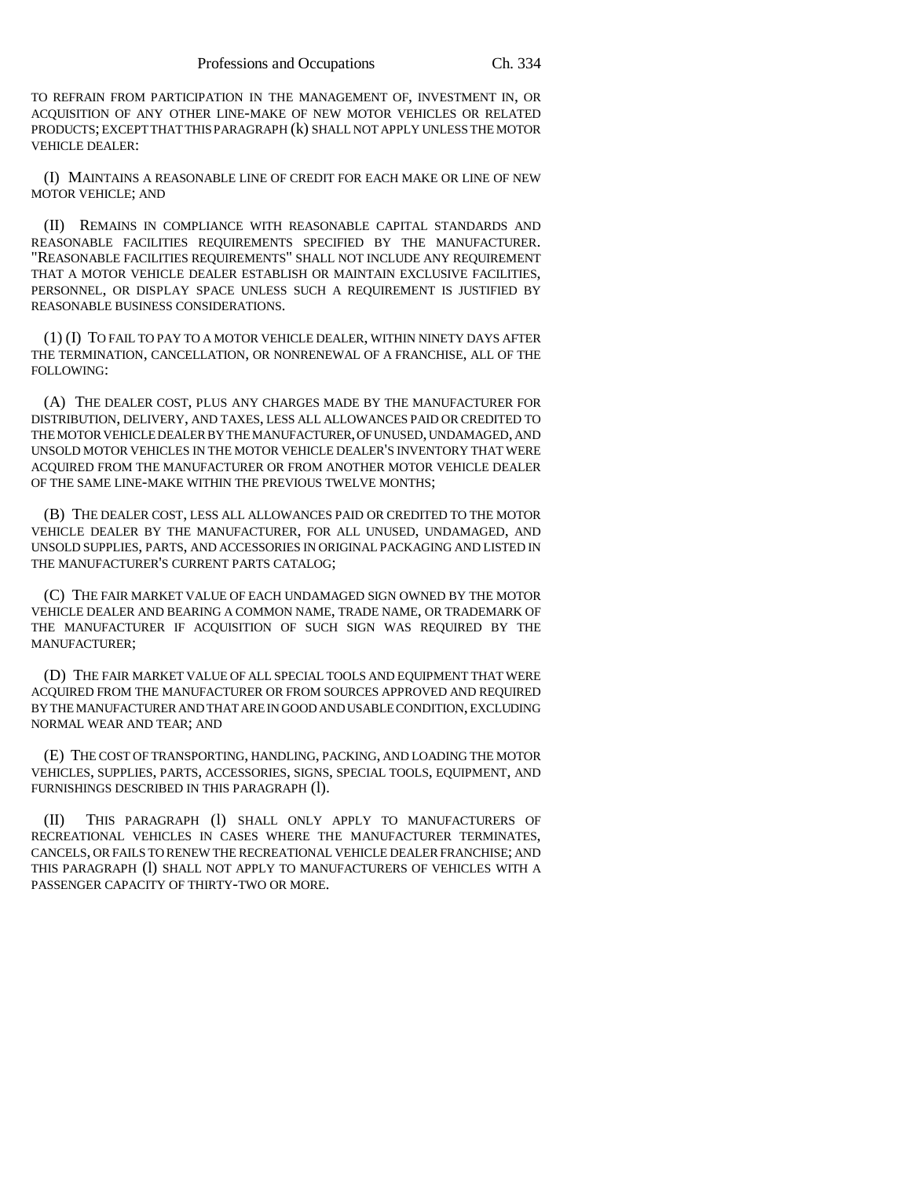TO REFRAIN FROM PARTICIPATION IN THE MANAGEMENT OF, INVESTMENT IN, OR ACQUISITION OF ANY OTHER LINE-MAKE OF NEW MOTOR VEHICLES OR RELATED PRODUCTS; EXCEPT THAT THIS PARAGRAPH (k) SHALL NOT APPLY UNLESS THE MOTOR VEHICLE DEALER:

(I) MAINTAINS A REASONABLE LINE OF CREDIT FOR EACH MAKE OR LINE OF NEW MOTOR VEHICLE; AND

(II) REMAINS IN COMPLIANCE WITH REASONABLE CAPITAL STANDARDS AND REASONABLE FACILITIES REQUIREMENTS SPECIFIED BY THE MANUFACTURER. "REASONABLE FACILITIES REQUIREMENTS" SHALL NOT INCLUDE ANY REQUIREMENT THAT A MOTOR VEHICLE DEALER ESTABLISH OR MAINTAIN EXCLUSIVE FACILITIES, PERSONNEL, OR DISPLAY SPACE UNLESS SUCH A REQUIREMENT IS JUSTIFIED BY REASONABLE BUSINESS CONSIDERATIONS.

(1) (I) TO FAIL TO PAY TO A MOTOR VEHICLE DEALER, WITHIN NINETY DAYS AFTER THE TERMINATION, CANCELLATION, OR NONRENEWAL OF A FRANCHISE, ALL OF THE FOLLOWING:

(A) THE DEALER COST, PLUS ANY CHARGES MADE BY THE MANUFACTURER FOR DISTRIBUTION, DELIVERY, AND TAXES, LESS ALL ALLOWANCES PAID OR CREDITED TO THE MOTOR VEHICLE DEALER BY THE MANUFACTURER, OF UNUSED, UNDAMAGED, AND UNSOLD MOTOR VEHICLES IN THE MOTOR VEHICLE DEALER'S INVENTORY THAT WERE ACQUIRED FROM THE MANUFACTURER OR FROM ANOTHER MOTOR VEHICLE DEALER OF THE SAME LINE-MAKE WITHIN THE PREVIOUS TWELVE MONTHS;

(B) THE DEALER COST, LESS ALL ALLOWANCES PAID OR CREDITED TO THE MOTOR VEHICLE DEALER BY THE MANUFACTURER, FOR ALL UNUSED, UNDAMAGED, AND UNSOLD SUPPLIES, PARTS, AND ACCESSORIES IN ORIGINAL PACKAGING AND LISTED IN THE MANUFACTURER'S CURRENT PARTS CATALOG;

(C) THE FAIR MARKET VALUE OF EACH UNDAMAGED SIGN OWNED BY THE MOTOR VEHICLE DEALER AND BEARING A COMMON NAME, TRADE NAME, OR TRADEMARK OF THE MANUFACTURER IF ACQUISITION OF SUCH SIGN WAS REQUIRED BY THE MANUFACTURER;

(D) THE FAIR MARKET VALUE OF ALL SPECIAL TOOLS AND EQUIPMENT THAT WERE ACQUIRED FROM THE MANUFACTURER OR FROM SOURCES APPROVED AND REQUIRED BY THE MANUFACTURER AND THAT ARE IN GOOD AND USABLE CONDITION, EXCLUDING NORMAL WEAR AND TEAR; AND

(E) THE COST OF TRANSPORTING, HANDLING, PACKING, AND LOADING THE MOTOR VEHICLES, SUPPLIES, PARTS, ACCESSORIES, SIGNS, SPECIAL TOOLS, EQUIPMENT, AND FURNISHINGS DESCRIBED IN THIS PARAGRAPH (l).

(II) THIS PARAGRAPH (l) SHALL ONLY APPLY TO MANUFACTURERS OF RECREATIONAL VEHICLES IN CASES WHERE THE MANUFACTURER TERMINATES, CANCELS, OR FAILS TO RENEW THE RECREATIONAL VEHICLE DEALER FRANCHISE; AND THIS PARAGRAPH (l) SHALL NOT APPLY TO MANUFACTURERS OF VEHICLES WITH A PASSENGER CAPACITY OF THIRTY-TWO OR MORE.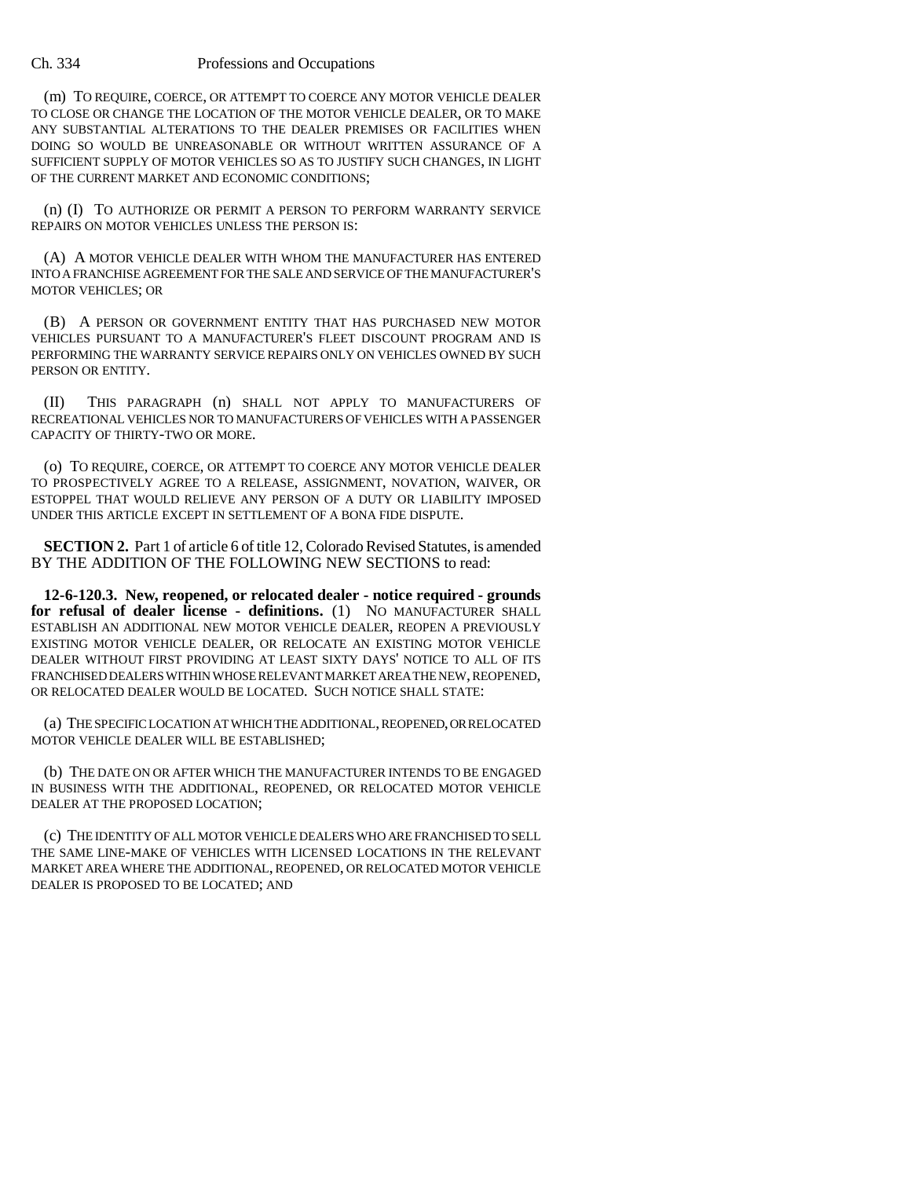## Ch. 334 Professions and Occupations

(m) TO REQUIRE, COERCE, OR ATTEMPT TO COERCE ANY MOTOR VEHICLE DEALER TO CLOSE OR CHANGE THE LOCATION OF THE MOTOR VEHICLE DEALER, OR TO MAKE ANY SUBSTANTIAL ALTERATIONS TO THE DEALER PREMISES OR FACILITIES WHEN DOING SO WOULD BE UNREASONABLE OR WITHOUT WRITTEN ASSURANCE OF A SUFFICIENT SUPPLY OF MOTOR VEHICLES SO AS TO JUSTIFY SUCH CHANGES, IN LIGHT OF THE CURRENT MARKET AND ECONOMIC CONDITIONS;

(n) (I) TO AUTHORIZE OR PERMIT A PERSON TO PERFORM WARRANTY SERVICE REPAIRS ON MOTOR VEHICLES UNLESS THE PERSON IS:

(A) A MOTOR VEHICLE DEALER WITH WHOM THE MANUFACTURER HAS ENTERED INTO A FRANCHISE AGREEMENT FOR THE SALE AND SERVICE OF THE MANUFACTURER'S MOTOR VEHICLES; OR

(B) A PERSON OR GOVERNMENT ENTITY THAT HAS PURCHASED NEW MOTOR VEHICLES PURSUANT TO A MANUFACTURER'S FLEET DISCOUNT PROGRAM AND IS PERFORMING THE WARRANTY SERVICE REPAIRS ONLY ON VEHICLES OWNED BY SUCH PERSON OR ENTITY.

(II) THIS PARAGRAPH (n) SHALL NOT APPLY TO MANUFACTURERS OF RECREATIONAL VEHICLES NOR TO MANUFACTURERS OF VEHICLES WITH A PASSENGER CAPACITY OF THIRTY-TWO OR MORE.

(o) TO REQUIRE, COERCE, OR ATTEMPT TO COERCE ANY MOTOR VEHICLE DEALER TO PROSPECTIVELY AGREE TO A RELEASE, ASSIGNMENT, NOVATION, WAIVER, OR ESTOPPEL THAT WOULD RELIEVE ANY PERSON OF A DUTY OR LIABILITY IMPOSED UNDER THIS ARTICLE EXCEPT IN SETTLEMENT OF A BONA FIDE DISPUTE.

**SECTION 2.** Part 1 of article 6 of title 12, Colorado Revised Statutes, is amended BY THE ADDITION OF THE FOLLOWING NEW SECTIONS to read:

**12-6-120.3. New, reopened, or relocated dealer - notice required - grounds for refusal of dealer license - definitions.** (1) NO MANUFACTURER SHALL ESTABLISH AN ADDITIONAL NEW MOTOR VEHICLE DEALER, REOPEN A PREVIOUSLY EXISTING MOTOR VEHICLE DEALER, OR RELOCATE AN EXISTING MOTOR VEHICLE DEALER WITHOUT FIRST PROVIDING AT LEAST SIXTY DAYS' NOTICE TO ALL OF ITS FRANCHISED DEALERS WITHIN WHOSE RELEVANT MARKET AREA THE NEW, REOPENED, OR RELOCATED DEALER WOULD BE LOCATED. SUCH NOTICE SHALL STATE:

(a) THE SPECIFIC LOCATION AT WHICH THE ADDITIONAL, REOPENED, OR RELOCATED MOTOR VEHICLE DEALER WILL BE ESTABLISHED;

(b) THE DATE ON OR AFTER WHICH THE MANUFACTURER INTENDS TO BE ENGAGED IN BUSINESS WITH THE ADDITIONAL, REOPENED, OR RELOCATED MOTOR VEHICLE DEALER AT THE PROPOSED LOCATION;

(c) THE IDENTITY OF ALL MOTOR VEHICLE DEALERS WHO ARE FRANCHISED TO SELL THE SAME LINE-MAKE OF VEHICLES WITH LICENSED LOCATIONS IN THE RELEVANT MARKET AREA WHERE THE ADDITIONAL, REOPENED, OR RELOCATED MOTOR VEHICLE DEALER IS PROPOSED TO BE LOCATED; AND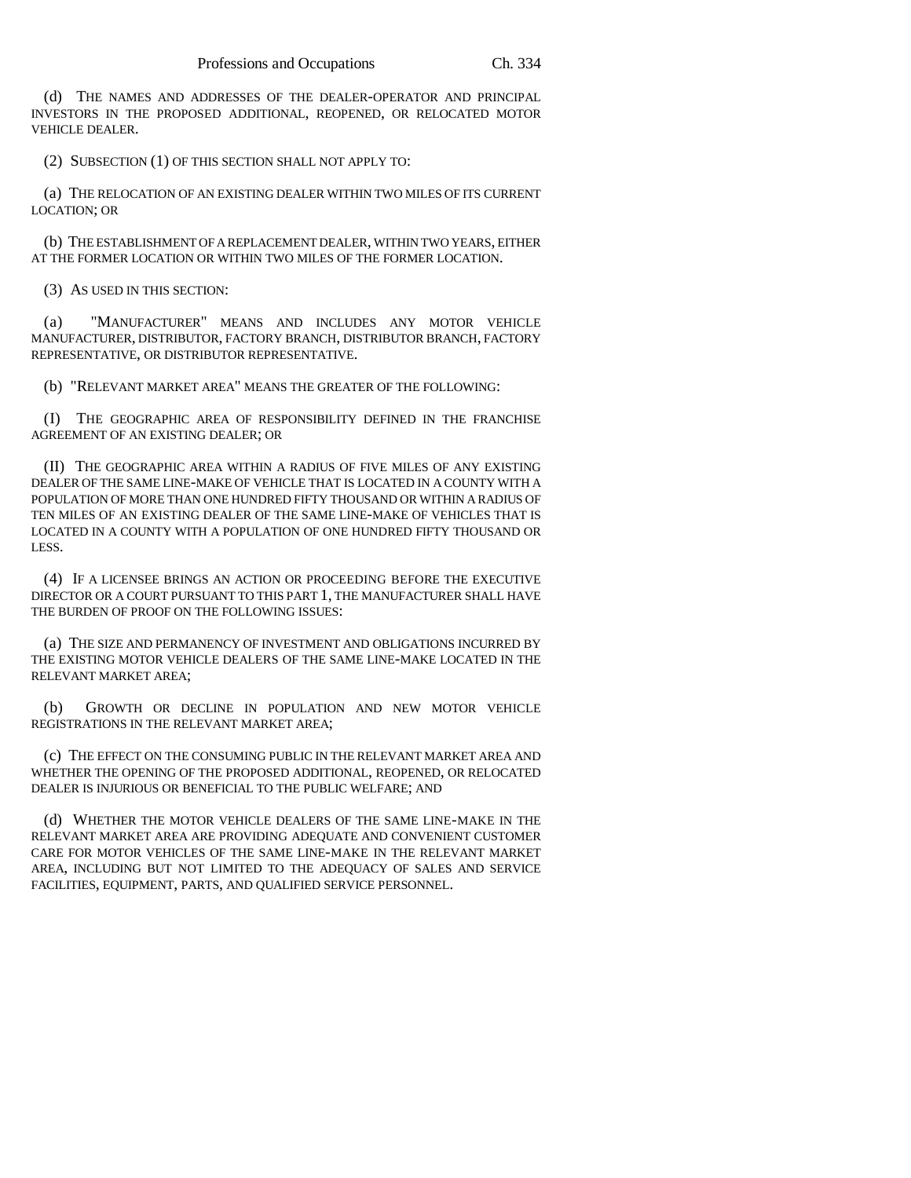(d) THE NAMES AND ADDRESSES OF THE DEALER-OPERATOR AND PRINCIPAL INVESTORS IN THE PROPOSED ADDITIONAL, REOPENED, OR RELOCATED MOTOR VEHICLE DEALER.

(2) SUBSECTION (1) OF THIS SECTION SHALL NOT APPLY TO:

(a) THE RELOCATION OF AN EXISTING DEALER WITHIN TWO MILES OF ITS CURRENT LOCATION; OR

(b) THE ESTABLISHMENT OF A REPLACEMENT DEALER, WITHIN TWO YEARS, EITHER AT THE FORMER LOCATION OR WITHIN TWO MILES OF THE FORMER LOCATION.

(3) AS USED IN THIS SECTION:

(a) "MANUFACTURER" MEANS AND INCLUDES ANY MOTOR VEHICLE MANUFACTURER, DISTRIBUTOR, FACTORY BRANCH, DISTRIBUTOR BRANCH, FACTORY REPRESENTATIVE, OR DISTRIBUTOR REPRESENTATIVE.

(b) "RELEVANT MARKET AREA" MEANS THE GREATER OF THE FOLLOWING:

(I) THE GEOGRAPHIC AREA OF RESPONSIBILITY DEFINED IN THE FRANCHISE AGREEMENT OF AN EXISTING DEALER; OR

(II) THE GEOGRAPHIC AREA WITHIN A RADIUS OF FIVE MILES OF ANY EXISTING DEALER OF THE SAME LINE-MAKE OF VEHICLE THAT IS LOCATED IN A COUNTY WITH A POPULATION OF MORE THAN ONE HUNDRED FIFTY THOUSAND OR WITHIN A RADIUS OF TEN MILES OF AN EXISTING DEALER OF THE SAME LINE-MAKE OF VEHICLES THAT IS LOCATED IN A COUNTY WITH A POPULATION OF ONE HUNDRED FIFTY THOUSAND OR LESS.

(4) IF A LICENSEE BRINGS AN ACTION OR PROCEEDING BEFORE THE EXECUTIVE DIRECTOR OR A COURT PURSUANT TO THIS PART 1, THE MANUFACTURER SHALL HAVE THE BURDEN OF PROOF ON THE FOLLOWING ISSUES:

(a) THE SIZE AND PERMANENCY OF INVESTMENT AND OBLIGATIONS INCURRED BY THE EXISTING MOTOR VEHICLE DEALERS OF THE SAME LINE-MAKE LOCATED IN THE RELEVANT MARKET AREA;

(b) GROWTH OR DECLINE IN POPULATION AND NEW MOTOR VEHICLE REGISTRATIONS IN THE RELEVANT MARKET AREA;

(c) THE EFFECT ON THE CONSUMING PUBLIC IN THE RELEVANT MARKET AREA AND WHETHER THE OPENING OF THE PROPOSED ADDITIONAL, REOPENED, OR RELOCATED DEALER IS INJURIOUS OR BENEFICIAL TO THE PUBLIC WELFARE; AND

(d) WHETHER THE MOTOR VEHICLE DEALERS OF THE SAME LINE-MAKE IN THE RELEVANT MARKET AREA ARE PROVIDING ADEQUATE AND CONVENIENT CUSTOMER CARE FOR MOTOR VEHICLES OF THE SAME LINE-MAKE IN THE RELEVANT MARKET AREA, INCLUDING BUT NOT LIMITED TO THE ADEQUACY OF SALES AND SERVICE FACILITIES, EQUIPMENT, PARTS, AND QUALIFIED SERVICE PERSONNEL.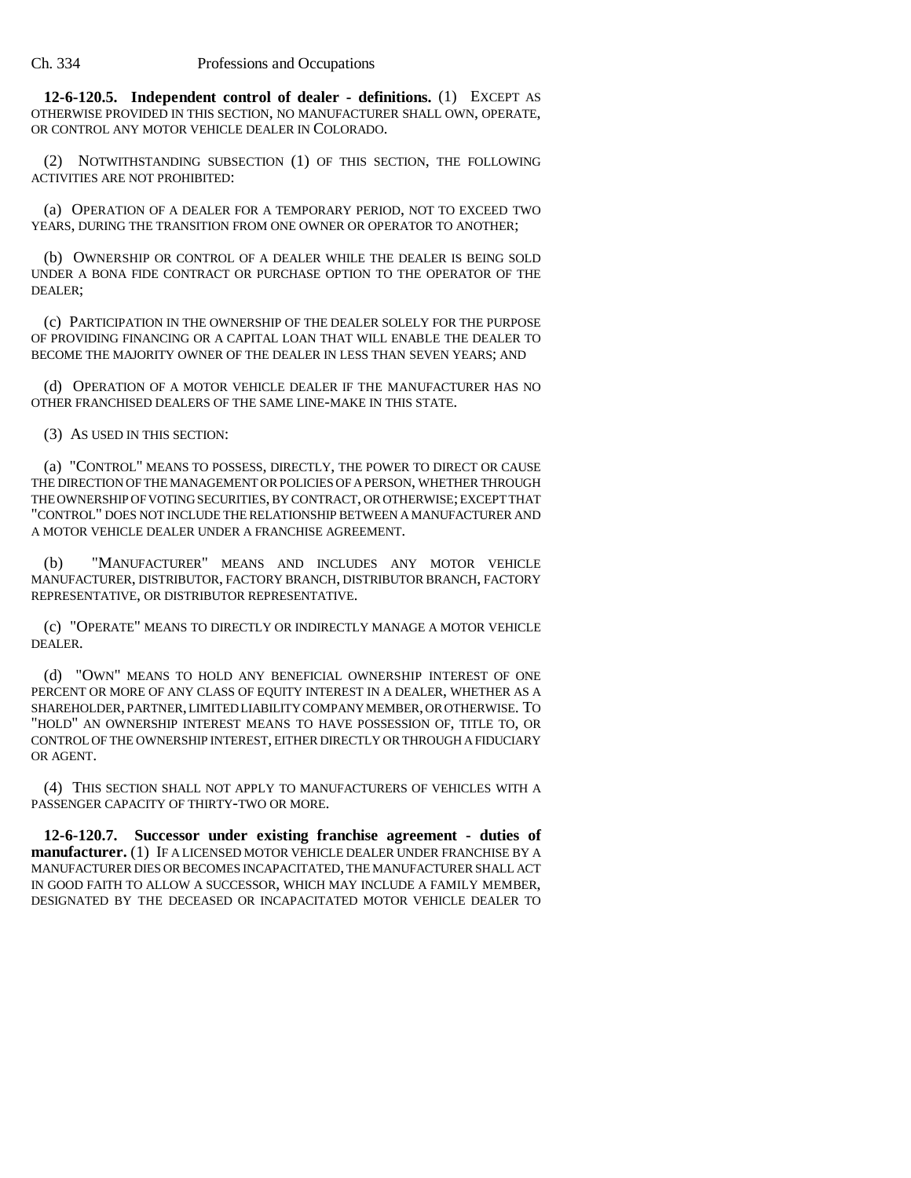**12-6-120.5. Independent control of dealer - definitions.** (1) EXCEPT AS OTHERWISE PROVIDED IN THIS SECTION, NO MANUFACTURER SHALL OWN, OPERATE, OR CONTROL ANY MOTOR VEHICLE DEALER IN COLORADO.

(2) NOTWITHSTANDING SUBSECTION (1) OF THIS SECTION, THE FOLLOWING ACTIVITIES ARE NOT PROHIBITED:

(a) OPERATION OF A DEALER FOR A TEMPORARY PERIOD, NOT TO EXCEED TWO YEARS, DURING THE TRANSITION FROM ONE OWNER OR OPERATOR TO ANOTHER;

(b) OWNERSHIP OR CONTROL OF A DEALER WHILE THE DEALER IS BEING SOLD UNDER A BONA FIDE CONTRACT OR PURCHASE OPTION TO THE OPERATOR OF THE DEALER;

(c) PARTICIPATION IN THE OWNERSHIP OF THE DEALER SOLELY FOR THE PURPOSE OF PROVIDING FINANCING OR A CAPITAL LOAN THAT WILL ENABLE THE DEALER TO BECOME THE MAJORITY OWNER OF THE DEALER IN LESS THAN SEVEN YEARS; AND

(d) OPERATION OF A MOTOR VEHICLE DEALER IF THE MANUFACTURER HAS NO OTHER FRANCHISED DEALERS OF THE SAME LINE-MAKE IN THIS STATE.

(3) AS USED IN THIS SECTION:

(a) "CONTROL" MEANS TO POSSESS, DIRECTLY, THE POWER TO DIRECT OR CAUSE THE DIRECTION OF THE MANAGEMENT OR POLICIES OF A PERSON, WHETHER THROUGH THE OWNERSHIP OF VOTING SECURITIES, BY CONTRACT, OR OTHERWISE; EXCEPT THAT "CONTROL" DOES NOT INCLUDE THE RELATIONSHIP BETWEEN A MANUFACTURER AND A MOTOR VEHICLE DEALER UNDER A FRANCHISE AGREEMENT.

(b) "MANUFACTURER" MEANS AND INCLUDES ANY MOTOR VEHICLE MANUFACTURER, DISTRIBUTOR, FACTORY BRANCH, DISTRIBUTOR BRANCH, FACTORY REPRESENTATIVE, OR DISTRIBUTOR REPRESENTATIVE.

(c) "OPERATE" MEANS TO DIRECTLY OR INDIRECTLY MANAGE A MOTOR VEHICLE DEALER.

(d) "OWN" MEANS TO HOLD ANY BENEFICIAL OWNERSHIP INTEREST OF ONE PERCENT OR MORE OF ANY CLASS OF EQUITY INTEREST IN A DEALER, WHETHER AS A SHAREHOLDER, PARTNER, LIMITED LIABILITY COMPANY MEMBER, OR OTHERWISE. TO "HOLD" AN OWNERSHIP INTEREST MEANS TO HAVE POSSESSION OF, TITLE TO, OR CONTROL OF THE OWNERSHIP INTEREST, EITHER DIRECTLY OR THROUGH A FIDUCIARY OR AGENT.

(4) THIS SECTION SHALL NOT APPLY TO MANUFACTURERS OF VEHICLES WITH A PASSENGER CAPACITY OF THIRTY-TWO OR MORE.

**12-6-120.7. Successor under existing franchise agreement - duties of manufacturer.** (1) IF A LICENSED MOTOR VEHICLE DEALER UNDER FRANCHISE BY A MANUFACTURER DIES OR BECOMES INCAPACITATED, THE MANUFACTURER SHALL ACT IN GOOD FAITH TO ALLOW A SUCCESSOR, WHICH MAY INCLUDE A FAMILY MEMBER, DESIGNATED BY THE DECEASED OR INCAPACITATED MOTOR VEHICLE DEALER TO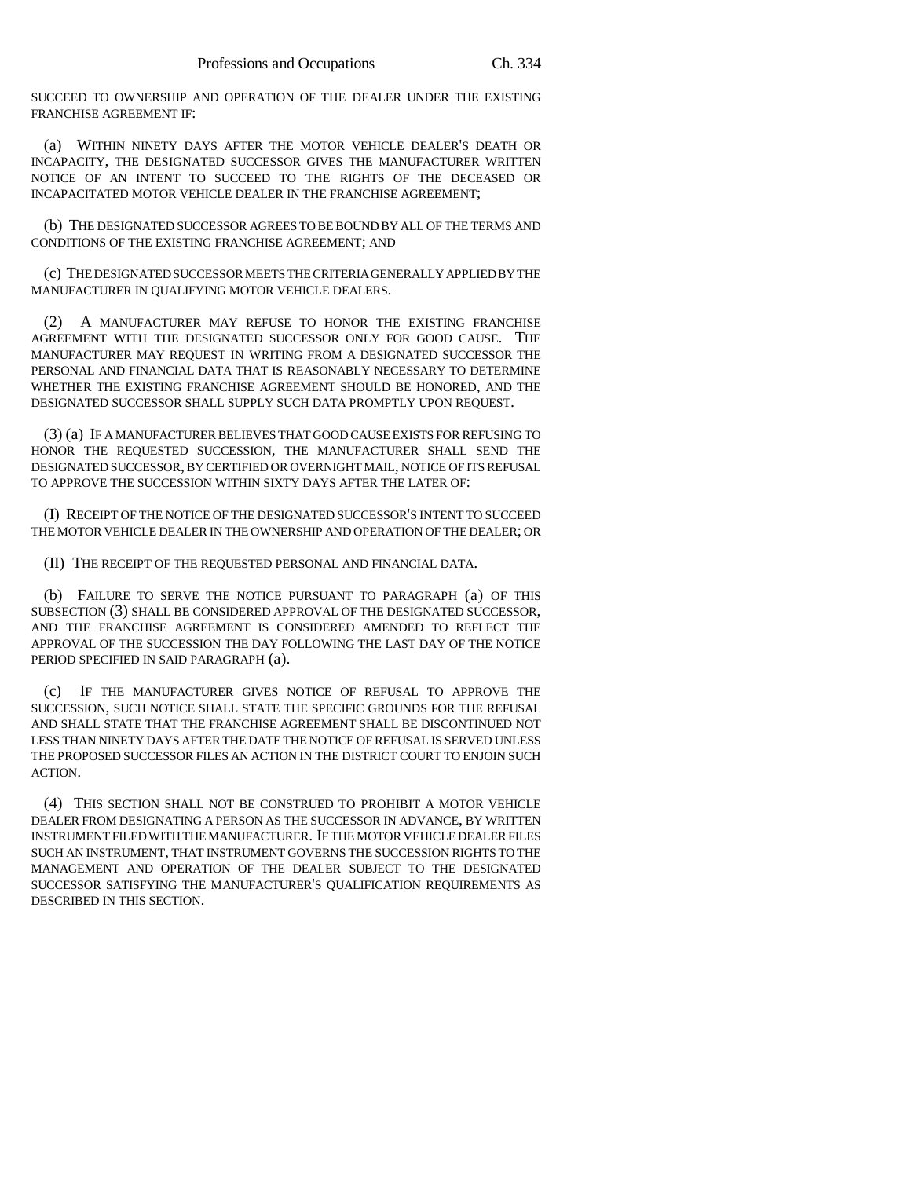SUCCEED TO OWNERSHIP AND OPERATION OF THE DEALER UNDER THE EXISTING FRANCHISE AGREEMENT IF:

(a) WITHIN NINETY DAYS AFTER THE MOTOR VEHICLE DEALER'S DEATH OR INCAPACITY, THE DESIGNATED SUCCESSOR GIVES THE MANUFACTURER WRITTEN NOTICE OF AN INTENT TO SUCCEED TO THE RIGHTS OF THE DECEASED OR INCAPACITATED MOTOR VEHICLE DEALER IN THE FRANCHISE AGREEMENT;

(b) THE DESIGNATED SUCCESSOR AGREES TO BE BOUND BY ALL OF THE TERMS AND CONDITIONS OF THE EXISTING FRANCHISE AGREEMENT; AND

(c) THE DESIGNATED SUCCESSOR MEETS THE CRITERIA GENERALLY APPLIED BY THE MANUFACTURER IN QUALIFYING MOTOR VEHICLE DEALERS.

(2) A MANUFACTURER MAY REFUSE TO HONOR THE EXISTING FRANCHISE AGREEMENT WITH THE DESIGNATED SUCCESSOR ONLY FOR GOOD CAUSE. THE MANUFACTURER MAY REQUEST IN WRITING FROM A DESIGNATED SUCCESSOR THE PERSONAL AND FINANCIAL DATA THAT IS REASONABLY NECESSARY TO DETERMINE WHETHER THE EXISTING FRANCHISE AGREEMENT SHOULD BE HONORED, AND THE DESIGNATED SUCCESSOR SHALL SUPPLY SUCH DATA PROMPTLY UPON REQUEST.

(3) (a) IF A MANUFACTURER BELIEVES THAT GOOD CAUSE EXISTS FOR REFUSING TO HONOR THE REQUESTED SUCCESSION, THE MANUFACTURER SHALL SEND THE DESIGNATED SUCCESSOR, BY CERTIFIED OR OVERNIGHT MAIL, NOTICE OF ITS REFUSAL TO APPROVE THE SUCCESSION WITHIN SIXTY DAYS AFTER THE LATER OF:

(I) RECEIPT OF THE NOTICE OF THE DESIGNATED SUCCESSOR'S INTENT TO SUCCEED THE MOTOR VEHICLE DEALER IN THE OWNERSHIP AND OPERATION OF THE DEALER; OR

(II) THE RECEIPT OF THE REQUESTED PERSONAL AND FINANCIAL DATA.

(b) FAILURE TO SERVE THE NOTICE PURSUANT TO PARAGRAPH (a) OF THIS SUBSECTION (3) SHALL BE CONSIDERED APPROVAL OF THE DESIGNATED SUCCESSOR, AND THE FRANCHISE AGREEMENT IS CONSIDERED AMENDED TO REFLECT THE APPROVAL OF THE SUCCESSION THE DAY FOLLOWING THE LAST DAY OF THE NOTICE PERIOD SPECIFIED IN SAID PARAGRAPH (a).

(c) IF THE MANUFACTURER GIVES NOTICE OF REFUSAL TO APPROVE THE SUCCESSION, SUCH NOTICE SHALL STATE THE SPECIFIC GROUNDS FOR THE REFUSAL AND SHALL STATE THAT THE FRANCHISE AGREEMENT SHALL BE DISCONTINUED NOT LESS THAN NINETY DAYS AFTER THE DATE THE NOTICE OF REFUSAL IS SERVED UNLESS THE PROPOSED SUCCESSOR FILES AN ACTION IN THE DISTRICT COURT TO ENJOIN SUCH ACTION.

(4) THIS SECTION SHALL NOT BE CONSTRUED TO PROHIBIT A MOTOR VEHICLE DEALER FROM DESIGNATING A PERSON AS THE SUCCESSOR IN ADVANCE, BY WRITTEN INSTRUMENT FILED WITH THE MANUFACTURER. IF THE MOTOR VEHICLE DEALER FILES SUCH AN INSTRUMENT, THAT INSTRUMENT GOVERNS THE SUCCESSION RIGHTS TO THE MANAGEMENT AND OPERATION OF THE DEALER SUBJECT TO THE DESIGNATED SUCCESSOR SATISFYING THE MANUFACTURER'S QUALIFICATION REQUIREMENTS AS DESCRIBED IN THIS SECTION.